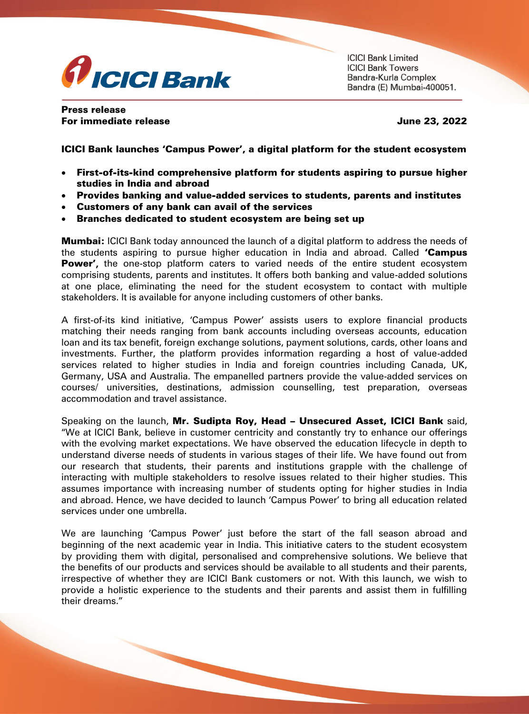

**ICICI Bank Limited ICICI Bank Towers** Bandra-Kurla Complex Bandra (E) Mumbai-400051.

Press release For immediate release June 23, 2022

ICICI Bank launches 'Campus Power', a digital platform for the student ecosystem

- First-of-its-kind comprehensive platform for students aspiring to pursue higher studies in India and abroad
- Provides banking and value-added services to students, parents and institutes
- Customers of any bank can avail of the services
- Branches dedicated to student ecosystem are being set up

**Mumbai:** ICICI Bank today announced the launch of a digital platform to address the needs of the students aspiring to pursue higher education in India and abroad. Called **'Campus** Power', the one-stop platform caters to varied needs of the entire student ecosystem comprising students, parents and institutes. It offers both banking and value-added solutions at one place, eliminating the need for the student ecosystem to contact with multiple stakeholders. It is available for anyone including customers of other banks.

A first-of-its kind initiative, 'Campus Power' assists users to explore financial products matching their needs ranging from bank accounts including overseas accounts, education loan and its tax benefit, foreign exchange solutions, payment solutions, cards, other loans and investments. Further, the platform provides information regarding a host of value-added services related to higher studies in India and foreign countries including Canada, UK, Germany, USA and Australia. The empanelled partners provide the value-added services on courses/ universities, destinations, admission counselling, test preparation, overseas accommodation and travel assistance.

Speaking on the launch, Mr. Sudipta Roy, Head - Unsecured Asset, ICICI Bank said, "We at ICICI Bank, believe in customer centricity and constantly try to enhance our offerings with the evolving market expectations. We have observed the education lifecycle in depth to understand diverse needs of students in various stages of their life. We have found out from our research that students, their parents and institutions grapple with the challenge of interacting with multiple stakeholders to resolve issues related to their higher studies. This assumes importance with increasing number of students opting for higher studies in India and abroad. Hence, we have decided to launch 'Campus Power' to bring all education related services under one umbrella.

We are launching 'Campus Power' just before the start of the fall season abroad and beginning of the next academic year in India. This initiative caters to the student ecosystem by providing them with digital, personalised and comprehensive solutions. We believe that the benefits of our products and services should be available to all students and their parents, irrespective of whether they are ICICI Bank customers or not. With this launch, we wish to provide a holistic experience to the students and their parents and assist them in fulfilling their dreams."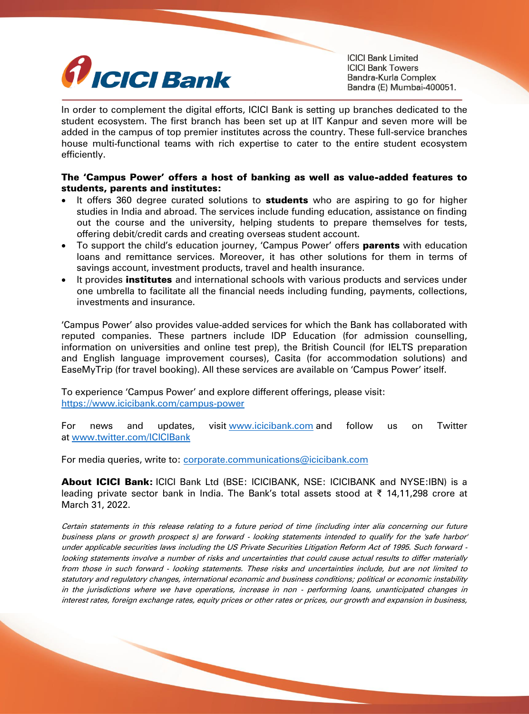

**ICICI Bank Limited ICICI Bank Towers** Bandra-Kurla Complex Bandra (E) Mumbai-400051.

In order to complement the digital efforts, ICICI Bank is setting up branches dedicated to the student ecosystem. The first branch has been set up at IIT Kanpur and seven more will be added in the campus of top premier institutes across the country. These full-service branches house multi-functional teams with rich expertise to cater to the entire student ecosystem efficiently.

## The 'Campus Power' offers a host of banking as well as value-added features to students, parents and institutes:

- It offers 360 degree curated solutions to **students** who are aspiring to go for higher studies in India and abroad. The services include funding education, assistance on finding out the course and the university, helping students to prepare themselves for tests, offering debit/credit cards and creating overseas student account.
- To support the child's education journey, 'Campus Power' offers **parents** with education loans and remittance services. Moreover, it has other solutions for them in terms of savings account, investment products, travel and health insurance.
- It provides **institutes** and international schools with various products and services under one umbrella to facilitate all the financial needs including funding, payments, collections, investments and insurance.

'Campus Power' also provides value-added services for which the Bank has collaborated with reputed companies. These partners include IDP Education (for admission counselling, information on universities and online test prep), the British Council (for IELTS preparation and English language improvement courses), Casita (for accommodation solutions) and EaseMyTrip (for travel booking). All these services are available on 'Campus Power' itself.

To experience 'Campus Power' and explore different offerings, please visit: [https://www.icicibank.com/campus-power](https://secure-web.cisco.com/15fLp4UJJLItHnRw51IuoURB6WEZJYr4S0T4uh_4EnOfizKbp0yJGjCUnija0qiU5dJPYz2ulqkUS5t1AQbZdImYdqv0utS8TUlVWCNka_8NX0efsTAJuW9qFPwpnY3yqnQwJpIyFqJbjEMf8VE92V1V3eN5EPw6rWuDq1esGgawxxIweFot92oNteHgn6DC48D93QsF5eNAJisG3ItKfVS1pFjk44UXRvS0dc-rSRG8BNy2hoHZCfPdBQzCjezGRg-gWUpoFcf5QiZhjfHogyNnHMEQu8OYzQu7vpxWWw39G7wJzeE2IafL487X2WU12/https%3A%2F%2Fwww.icicibank.com%2Fcampus-power)

For news and updates, visit [www.icicibank.com](http://secure-web.cisco.com/1CsOwnmSkmH3RZlVA7DuHqQpB0ZADJSPy_p66o3vb70ENsQ8013vAQVvmpelZeN4MBHdfmlkySC9A-xQ2EDAIbvWdFycVXzNb6KdjTpus-PZjG7bgWtTCO-58HTZ25fGOArOEmEOqFYYu-Jr9fSkL8BS_PvomTEsKueRxsO5S2YmGxXkOywNz07KazR3ipm-5ofmL2m-NYFNXcT6fLGnRmTs8o3B1wiSQCiWVxzA2Hw7YoG0zNrlDN5mdy3f3Bt8YFk1S1uu1ZA1i700AQOHsTGFh6oMs6RaEjIir13sBgungUn-jxwGG6oTWss2UQipm/http%3A%2F%2Fwww.icicibank.com) and follow us on Twitter at [www.twitter.com/ICICIBank](http://secure-web.cisco.com/14ShmVkeL3BxcTU3gO9ucLnRemEjkKMxvwkQ4iNbQt8wYd7xLJWnX30NP7J-BpHPXruKcrZArENezG3Zhrb6Tx6VQ-nkVTC9PWy37auaM4b5E2XpGY4D9IEkl-plsRhgIAq_1pSZ2O6C-7Q1_jTOBN5eV75q99dyMOHCWwnFh0Xw928tHC0seGYQbaqA05ks_hmHVtCj3yX62V8xM3akbeDlcORG9ugi-neYva7MElwgVZrWO91dhdEJXZbGg246ju2rpZ7bQ7UDqWs4K0xPP9WYZJZ2AYw8tNu6p-SbRgGf98IfOeDIPpI_Ge78t8Sgm/http%3A%2F%2Fwww.twitter.com%2FICICIBank)

For media queries, write to: [corporate.communications@icicibank.com](mailto:corporate.communications@icicibank.com)

About ICICI Bank: ICICI Bank Ltd (BSE: ICICIBANK, NSE: ICICIBANK and NYSE:IBN) is a leading private sector bank in India. The Bank's total assets stood at ₹ 14,11,298 crore at March 31, 2022.

Certain statements in this release relating to a future period of time (including inter alia concerning our future business plans or growth prospect s) are forward - looking statements intended to qualify for the 'safe harbor' under applicable securities laws including the US Private Securities Litigation Reform Act of 1995. Such forward looking statements involve a number of risks and uncertainties that could cause actual results to differ materially from those in such forward - looking statements. These risks and uncertainties include, but are not limited to statutory and regulatory changes, international economic and business conditions; political or economic instability in the jurisdictions where we have operations, increase in non - performing loans, unanticipated changes in interest rates, foreign exchange rates, equity prices or other rates or prices, our growth and expansion in business,